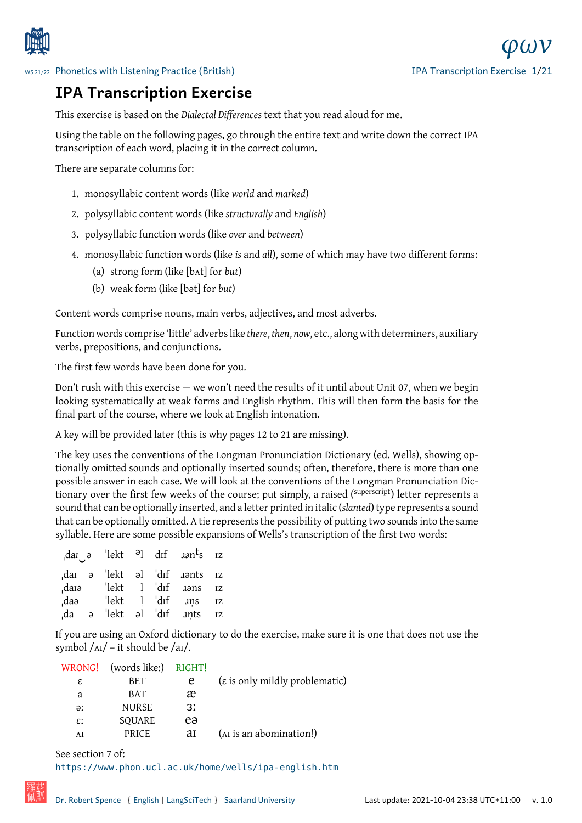

## **IPA Transcription Exercise**

[This exercise is based on the](http://www.spence.saar.de/courses/phoneticswithlistening/) *Dialectal Differences* text that you read aloud for me.

Using the table on the following pages, go through the entire text and write down the correct IPA transcription of each word, placing it in the correct column.

There are separate columns for:

- 1. monosyllabic content words (like *world* and *marked*)
- 2. polysyllabic content words (like *structurally* and *English*)
- 3. polysyllabic function words (like *over* and *between*)
- 4. monosyllabic function words (like *is* and *all*), some of which may have two different forms:
	- (a) strong form (like [bʌt] for *but*)
	- (b) weak form (like [bət] for *but*)

Content words comprise nouns, main verbs, adjectives, and most adverbs.

Function words comprise 'little' adverbs like *there*, *then*, *now*, etc., along with determiners, auxiliary verbs, prepositions, and conjunctions.

The first few words have been done for you.

Don't rush with this exercise — we won't need the results of it until about Unit 07, when we begin looking systematically at weak forms and English rhythm. This will then form the basis for the final part of the course, where we look at English intonation.

A key will be provided later (this is why pages 12 to 21 are missing).

The key uses the conventions of the Longman Pronunciation Dictionary (ed. Wells), showing optionally omitted sounds and optionally inserted sounds; often, therefore, there is more than one possible answer in each case. We will look at the conventions of the Longman Pronunciation Dictionary over the first few weeks of the course; put simply, a raised (superscript) letter represents a sound that can be optionally inserted, and a letter printed in italic (*slanted*) type represents a sound that can be optionally omitted. A tie represents the possibility of putting two sounds into the same syllable. Here are some possible expansions of Wells's transcription of the first two words:

|       |            |       |            | dar $\theta$ lekt $\theta$ l dif $anh s$ iz |    |
|-------|------------|-------|------------|---------------------------------------------|----|
| dai ə |            |       |            | 'lekt al 'dif <i>aants</i> iz               |    |
| darə, |            | 'lekt | l 'dıf     | aəns                                        | IZ |
| daə,  |            | 'lekt | $1$ $'dif$ | ans                                         | IZ |
| .da   | $\partial$ | 'lekt |            | al dif <i>ints</i>                          | IZ |

If you are using an Oxford dictionary to do the exercise, make sure it is one that does not use the symbol  $/\text{Al}$  – it should be  $/\text{al}$ .

|                                             |    | (words like:) RIGHT! | WRONG!          |
|---------------------------------------------|----|----------------------|-----------------|
| $(\varepsilon)$ is only mildly problematic) | e  | BET                  | ε               |
|                                             | æ  | <b>BAT</b>           | a               |
|                                             | 31 | <b>NURSE</b>         | ə:              |
|                                             | eə | SQUARE               | $\varepsilon$ : |
| (A <sub>I</sub> is an abomination!)         | ai | <b>PRICE</b>         | ΛI              |

See section 7 of:

https://www.phon.ucl.ac.uk/home/wells/ipa-english.htm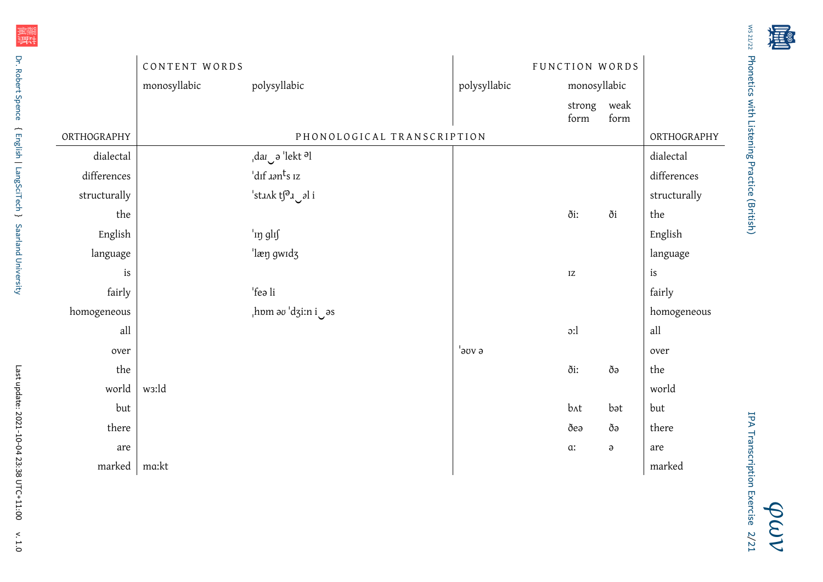|              | CONTENT WORDS |                                                        |              | FUNCTION WORDS         |          |                     |
|--------------|---------------|--------------------------------------------------------|--------------|------------------------|----------|---------------------|
|              | monosyllabic  | polysyllabic                                           | polysyllabic | monosyllabic           |          |                     |
|              |               |                                                        |              | strong weak<br>form    | form     |                     |
| ORTHOGRAPHY  |               | PHONOLOGICAL TRANSCRIPTION                             |              |                        |          | ORTHOGRAPHY         |
| dialectal    |               | $\frac{1}{2}$ dar $\frac{1}{2}$ ə 'lekt <sup>ə</sup> l |              |                        |          | dialectal           |
| differences  |               | 'dıf <i>aa</i> n <sup>t</sup> s 1z                     |              |                        |          | differences         |
| structurally |               | stunk ts <sup>a</sup> u al i                           |              |                        |          | structurally        |
| the          |               |                                                        |              | ði:                    | ði       | the                 |
| English      |               | 'in glif                                               |              |                        |          | English             |
| language     |               | 'læn gwidz                                             |              |                        |          | language            |
| is           |               |                                                        |              | $\mathbf{I}\mathbf{Z}$ |          | $\operatorname{is}$ |
| fairly       |               | 'feə li                                                |              |                        |          | fairly              |
| homogeneous  |               | $\mu$ hom ə $\sigma$ 'dzi:n i $\sigma$ əs              |              |                        |          | homogeneous         |
| all          |               |                                                        |              | $\mathfrak{D}$ :       |          | all                 |
| over         |               |                                                        | a voe'       |                        |          | over                |
| the          |               |                                                        |              | ði:                    | ðə       | the                 |
| world        | w3:ld         |                                                        |              |                        |          | world               |
| but          |               |                                                        |              | $b$ $\Lambda t$        | bət      | but                 |
| there        |               |                                                        |              | ðea                    | ðə       | there               |
| are          |               |                                                        |              | $\alpha$               | $\Theta$ | are                 |
| marked       | ma:kt         |                                                        |              |                        |          | marked              |

[WS 21/22](http://www.spence.saar.de/whereabouts/time2102.html) Phonetics with Listening Practice (British) [Phonetics with Listening Practice \(British\)](http://www.spence.saar.de/courses/phoneticswithlistening/)

计判

*[φων](http://www.spence.saar.de/courses/phoneticswithlistening/)*

IPA Transcription Exercise IPA Transcription Exercise 2[/21](#page-20-0)

羅斯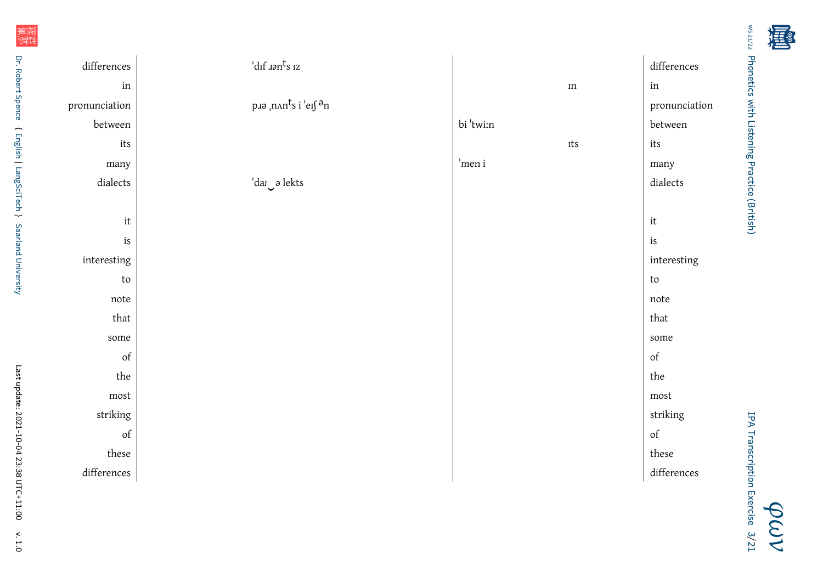[WS 21/22](http://www.spence.saar.de/whereabouts/time2102.html) Phonetics with Listening Practice (British) [Phonetics with Listening Practice \(British\)](http://www.spence.saar.de/courses/phoneticswithlistening/)

计判

|                                               |                                        | differences                                                                                        |
|-----------------------------------------------|----------------------------------------|----------------------------------------------------------------------------------------------------|
|                                               | $\rm{m}$                               | in                                                                                                 |
| p.19 <sub>I</sub> nnnts i 'eif <sup>a</sup> n |                                        | pronunciation                                                                                      |
|                                               | bi 'twi:n                              | between                                                                                            |
|                                               | Its                                    | its                                                                                                |
|                                               | 'men i                                 | many                                                                                               |
| 'dar a lekts                                  |                                        | dialects                                                                                           |
|                                               |                                        |                                                                                                    |
|                                               |                                        | $\operatorname{it}$                                                                                |
|                                               |                                        | $\operatorname{is}$                                                                                |
|                                               |                                        | interesting                                                                                        |
|                                               |                                        | $\mathop{\rm to}\nolimits$                                                                         |
|                                               |                                        | $\operatorname{note}$                                                                              |
|                                               |                                        | that                                                                                               |
|                                               |                                        | some                                                                                               |
|                                               |                                        | $% \left( \left( \mathcal{A},\mathcal{A}\right) \right) =\left( \mathcal{A},\mathcal{A}\right)$ of |
|                                               |                                        | the                                                                                                |
|                                               |                                        | ${\rm most}$                                                                                       |
|                                               |                                        | striking                                                                                           |
|                                               |                                        | $\mathop{\rm of}$                                                                                  |
|                                               |                                        | ${\rm these}$                                                                                      |
|                                               |                                        | differences                                                                                        |
| between<br>that<br>striking                   | $\mathrm{d}$ if $\mathrm{rank}_{S}$ iz |                                                                                                    |

{ [English](https://www.uni-saarland.de/fachrichtung/anglistik/) |

[LangSciTech](https://www.uni-saarland.de/fachrichtung/lst/)

~

[Saarland University](http://www.uni-saarland.de)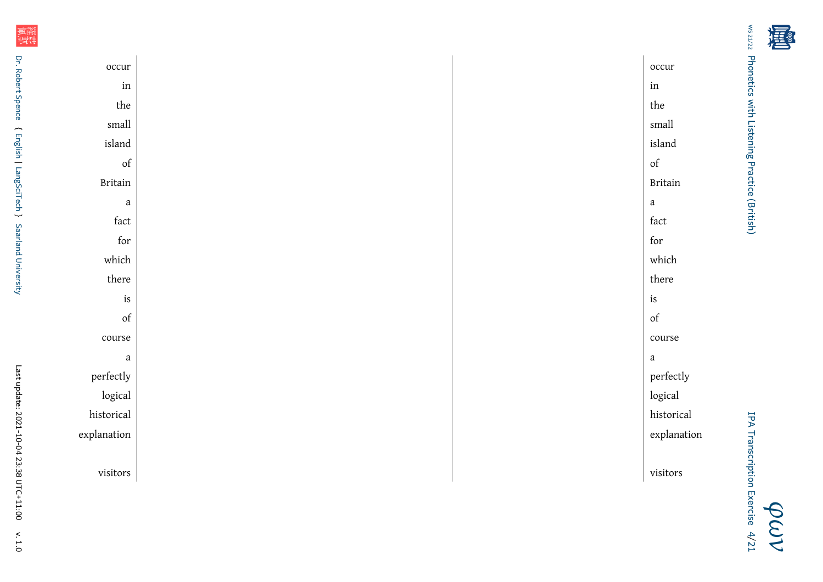计计

| occur                                                                                              | occur                                                                                              |
|----------------------------------------------------------------------------------------------------|----------------------------------------------------------------------------------------------------|
| $\operatorname{in}$                                                                                | $\operatorname{in}$                                                                                |
| the                                                                                                | the                                                                                                |
| $\mbox{small}$                                                                                     | small                                                                                              |
| island                                                                                             | island                                                                                             |
| $% \left( \left( \mathcal{A},\mathcal{A}\right) \right) =\left( \mathcal{A},\mathcal{A}\right)$ of | $% \left( \left( \mathcal{A},\mathcal{A}\right) \right) =\left( \mathcal{A},\mathcal{A}\right)$ of |
| <b>Britain</b>                                                                                     | <b>Britain</b>                                                                                     |
| $\it a$                                                                                            | $\it a$                                                                                            |
| fact                                                                                               | fact                                                                                               |
| $\operatorname{for}$                                                                               | for                                                                                                |
| which                                                                                              | which                                                                                              |
| there                                                                                              | there                                                                                              |
| is                                                                                                 | $\operatorname{is}$                                                                                |
| $% \left( \left( \mathcal{A},\mathcal{A}\right) \right) =\left( \mathcal{A},\mathcal{A}\right)$ of | $% \left( \left( \mathcal{A},\mathcal{A}\right) \right) =\left( \mathcal{A},\mathcal{A}\right)$ of |
| $\operatorname{course}$                                                                            | course                                                                                             |
| $\mathbf{a}$                                                                                       | $\it a$                                                                                            |
| perfectly                                                                                          | perfectly                                                                                          |
| logical                                                                                            | logical                                                                                            |
| historical                                                                                         | historical                                                                                         |
| explanation                                                                                        | explanation                                                                                        |
|                                                                                                    |                                                                                                    |
| $\,$ visitors                                                                                      | $\,$ visitors                                                                                      |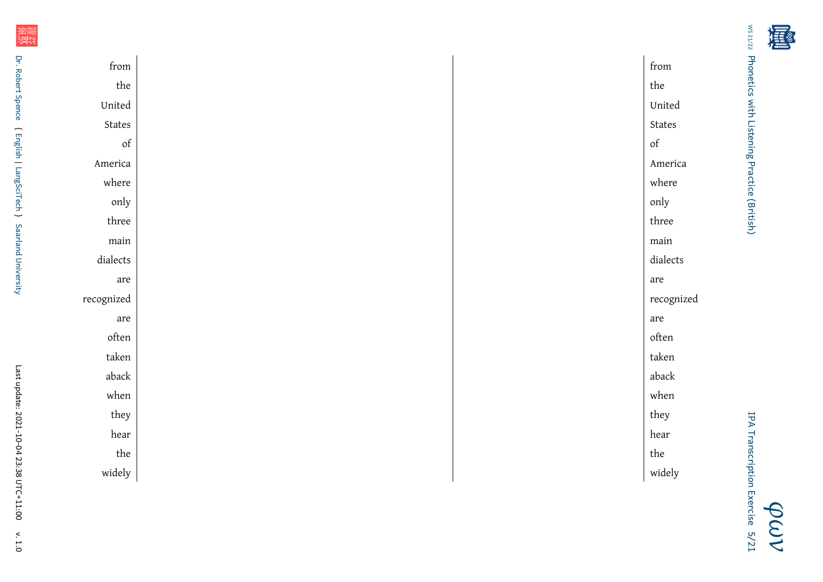| こんこう データ・ディスク                                                                                                                                                                                                                  |  |
|--------------------------------------------------------------------------------------------------------------------------------------------------------------------------------------------------------------------------------|--|
| - Indianal Second Indianal Library Second Second Indianal Second Second Indianal Second Indianal Second Indianal Second Indianal Second Indianal Second Indianal Second Indianal Second Indian Second Indian Second Indian Sec |  |
|                                                                                                                                                                                                                                |  |
| I                                                                                                                                                                                                                              |  |
|                                                                                                                                                                                                                                |  |
|                                                                                                                                                                                                                                |  |

| from                                                                                               | from                                                                                               |
|----------------------------------------------------------------------------------------------------|----------------------------------------------------------------------------------------------------|
| $% \left\vert \psi _{n}\right\rangle _{0}\approx \left\vert \psi _{n}\right\rangle _{0}$ the       | the                                                                                                |
| United                                                                                             | United                                                                                             |
| States                                                                                             | $\operatorname{\mathsf{States}}$                                                                   |
| $% \left( \left( \mathcal{A},\mathcal{A}\right) \right) =\left( \mathcal{A},\mathcal{A}\right)$ of | $% \left( \left( \mathcal{A},\mathcal{A}\right) \right) =\left( \mathcal{A},\mathcal{A}\right)$ of |
| America                                                                                            | America                                                                                            |
| where                                                                                              | where                                                                                              |
| only                                                                                               | only                                                                                               |
| three                                                                                              | three                                                                                              |
| main                                                                                               | $\mathop{\mathrm{main}}$                                                                           |
| dialects                                                                                           | $\emph{dialects}$                                                                                  |
| are                                                                                                | are                                                                                                |
| recognized                                                                                         | recognized                                                                                         |
| are                                                                                                | are                                                                                                |
| often                                                                                              | $\quad$ often                                                                                      |
| taken                                                                                              | taken                                                                                              |
| aback                                                                                              | aback                                                                                              |
| when                                                                                               | $% \left\vert \mathcal{L}_{\mathcal{A}}\right\vert$ when                                           |
| they                                                                                               | they                                                                                               |
| hear                                                                                               | hear                                                                                               |
| $% \left\vert \psi _{n}\right\rangle _{0}\approx \left\vert \psi _{n}\right\rangle _{0}$ the       | $% \left\vert \cdot \right\vert$ the                                                               |
| widely                                                                                             | widely                                                                                             |
|                                                                                                    |                                                                                                    |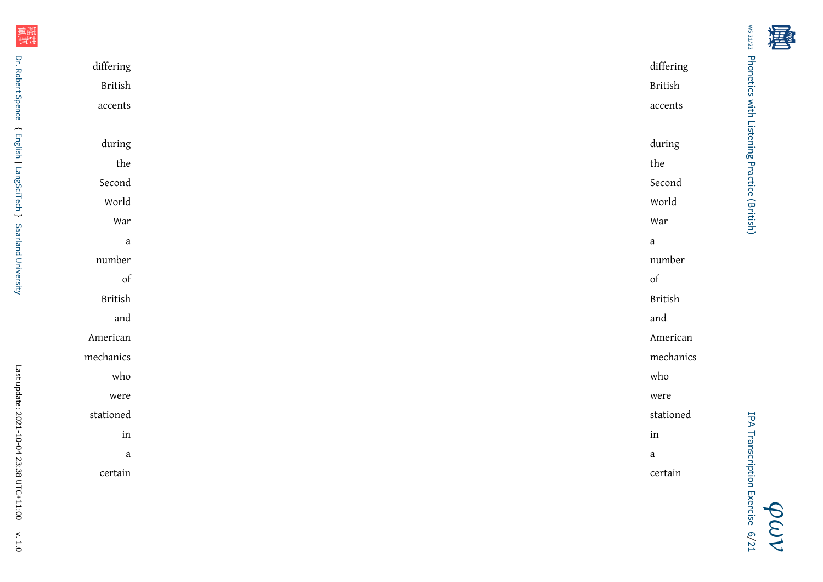| アファブエフ へん                                            |  |
|------------------------------------------------------|--|
| LIGHTED ACTS ANTENIE LIGHTED COLOR (DI LOI LEIGHTED) |  |
|                                                      |  |
| I                                                    |  |
| デリー・コール                                              |  |
|                                                      |  |

| differing                                                                                          | differing                                                                                          |
|----------------------------------------------------------------------------------------------------|----------------------------------------------------------------------------------------------------|
| British                                                                                            | British                                                                                            |
| ${\rm accents}$                                                                                    | ${\rm accents}$                                                                                    |
|                                                                                                    |                                                                                                    |
| during                                                                                             | during                                                                                             |
| $^{\rm the}$                                                                                       | $% \left\vert \psi _{n}\right\rangle _{0}\approx \left\vert \psi _{n}\right\rangle _{0}$ the       |
| Second                                                                                             | Second                                                                                             |
| World                                                                                              | World                                                                                              |
| War                                                                                                | War                                                                                                |
| $\mathbf{a}$                                                                                       | $\mathbf{a}$                                                                                       |
| number                                                                                             | number                                                                                             |
| $% \left( \left( \mathcal{A},\mathcal{A}\right) \right) =\left( \mathcal{A},\mathcal{A}\right)$ of | $% \left( \left( \mathcal{A},\mathcal{A}\right) \right) =\left( \mathcal{A},\mathcal{A}\right)$ of |
| $\mbox{{\sc British}}$                                                                             | British                                                                                            |
| and                                                                                                | and                                                                                                |
| American                                                                                           | American                                                                                           |
| mechanics                                                                                          | mechanics                                                                                          |
| who                                                                                                | who                                                                                                |
| were                                                                                               | were                                                                                               |
| stationed                                                                                          | stationed                                                                                          |
| in                                                                                                 | $\operatorname{in}$                                                                                |
| $\it a$                                                                                            | $\it a$                                                                                            |
| certain                                                                                            | certain                                                                                            |

{ [English](https://www.uni-saarland.de/fachrichtung/anglistik/) |

[LangSciTech](https://www.uni-saarland.de/fachrichtung/lst/)

~

[Saarland University](http://www.uni-saarland.de)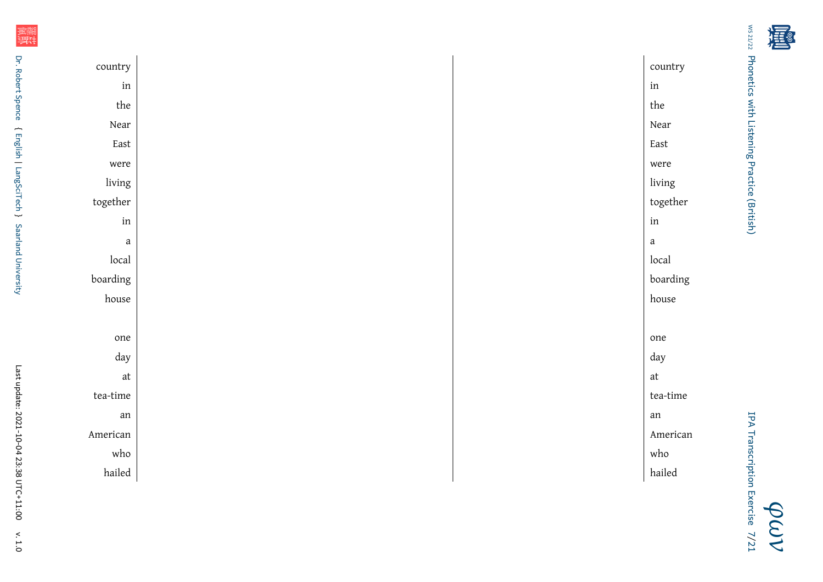| フィー・ディー アル              |  |
|-------------------------|--|
| ここころ こうりょう こうこう こうりょうこう |  |
|                         |  |
| í                       |  |
| パー・SCCCC てせいさ           |  |
|                         |  |

j,

| country                      | country                                                                                      |
|------------------------------|----------------------------------------------------------------------------------------------|
| $\operatorname{in}$          | $\operatorname{in}$                                                                          |
| $% \left[ \cdot \right]$ the | $% \left\vert \psi _{n}\right\rangle _{0}\approx \left\vert \psi _{n}\right\rangle _{0}$ the |
| Near                         | Near                                                                                         |
| East                         | East                                                                                         |
| were                         | were                                                                                         |
| living                       | living                                                                                       |
| $together$                   | together                                                                                     |
| in                           | $\operatorname{in}$                                                                          |
| $\it a$                      | $\mathbf{a}$                                                                                 |
| local                        | local                                                                                        |
| boarding                     | boarding                                                                                     |
| house                        | house                                                                                        |
|                              |                                                                                              |
| one                          | one                                                                                          |
| day                          | day                                                                                          |
| $\operatorname{\mathsf{at}}$ | $\operatorname{\mathsf{at}}$                                                                 |
| $\,$ tea-time                | $\,$ tea-time                                                                                |
| an                           | ${\rm an}$                                                                                   |
| American                     | American                                                                                     |
| who                          | who                                                                                          |
| hailed                       | hailed                                                                                       |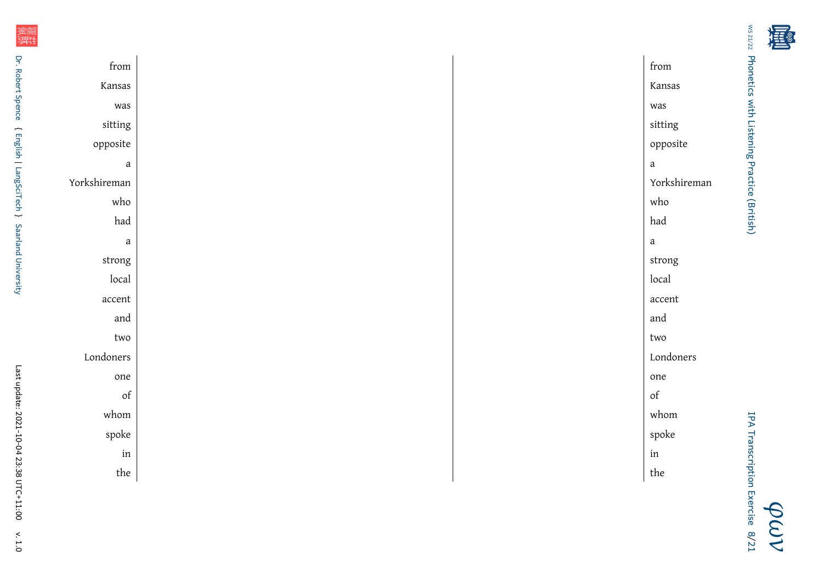| ֧֞ <sup>֓</sup> ֚֚֓<br>このこ データ・データ |
|------------------------------------|
|                                    |
|                                    |
| I                                  |
|                                    |
|                                    |

j,

| from                                                                                               |  | from                                                                                               |
|----------------------------------------------------------------------------------------------------|--|----------------------------------------------------------------------------------------------------|
| Kansas                                                                                             |  | Kansas                                                                                             |
| was                                                                                                |  | was                                                                                                |
| sitting                                                                                            |  | sitting                                                                                            |
| opposite                                                                                           |  | opposite                                                                                           |
| $\mathbf{a}$                                                                                       |  | $\mathbf{a}$                                                                                       |
| Yorkshireman                                                                                       |  | Yorkshireman                                                                                       |
| who                                                                                                |  | who                                                                                                |
| had                                                                                                |  | $_{\rm had}$                                                                                       |
| $\it a$                                                                                            |  | $\ensuremath{\mathbf{a}}$                                                                          |
| $\rm strong$                                                                                       |  | $\rm strong$                                                                                       |
| local                                                                                              |  | local                                                                                              |
| $\,$ accent                                                                                        |  | $\mathop{\rm accent}\nolimits$                                                                     |
| and                                                                                                |  | and                                                                                                |
| two                                                                                                |  | two                                                                                                |
| Londoners                                                                                          |  | Londoners                                                                                          |
| one                                                                                                |  | one                                                                                                |
| $% \left( \left( \mathcal{A},\mathcal{A}\right) \right) =\left( \mathcal{A},\mathcal{A}\right)$ of |  | $% \left( \left( \mathcal{A},\mathcal{A}\right) \right) =\left( \mathcal{A},\mathcal{A}\right)$ of |
| whom                                                                                               |  | whom                                                                                               |
| spoke                                                                                              |  | spoke                                                                                              |
| $\operatorname{in}$                                                                                |  | in                                                                                                 |
| the                                                                                                |  | the                                                                                                |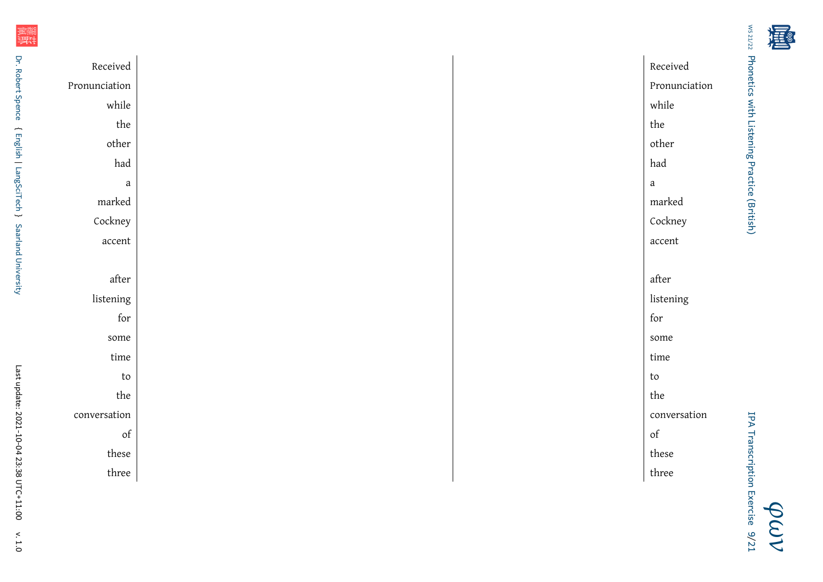| Received                                                                                     | Received                     |               |
|----------------------------------------------------------------------------------------------|------------------------------|---------------|
| Pronunciation                                                                                |                              | Pronunciation |
| while                                                                                        | while                        |               |
| $% \left\vert \psi _{n}\right\rangle _{0}\approx \left\vert \psi _{n}\right\rangle _{0}$ the | $% \left[ \cdot \right]$ the |               |
| other                                                                                        | $\alpha$                     |               |
| had                                                                                          | had                          |               |
| $\it a$                                                                                      | $\mathbf{a}$                 |               |
| marked                                                                                       | marked                       |               |
| Cockney                                                                                      | Cockney                      |               |
| accent                                                                                       | $\,$ accent                  |               |
|                                                                                              |                              |               |
| $\operatorname{\sf after}$                                                                   | $\operatorname{\sf after}$   |               |
| listening                                                                                    | listening                    |               |
| for                                                                                          | for                          |               |
| some                                                                                         | some                         |               |
| time                                                                                         | time                         |               |
| $\mathop{\mathrm{to}}$                                                                       | to                           |               |
| the                                                                                          | the                          |               |
| conversation                                                                                 |                              | conversation  |
| of                                                                                           | $\sigma f$                   |               |
| these                                                                                        | these                        |               |
| three                                                                                        | three                        |               |

计计

*[φων](http://www.spence.saar.de/courses/phoneticswithlistening/)* IPA Transcription Exercise IPA Transcription Exercise 9[/21](#page-20-0)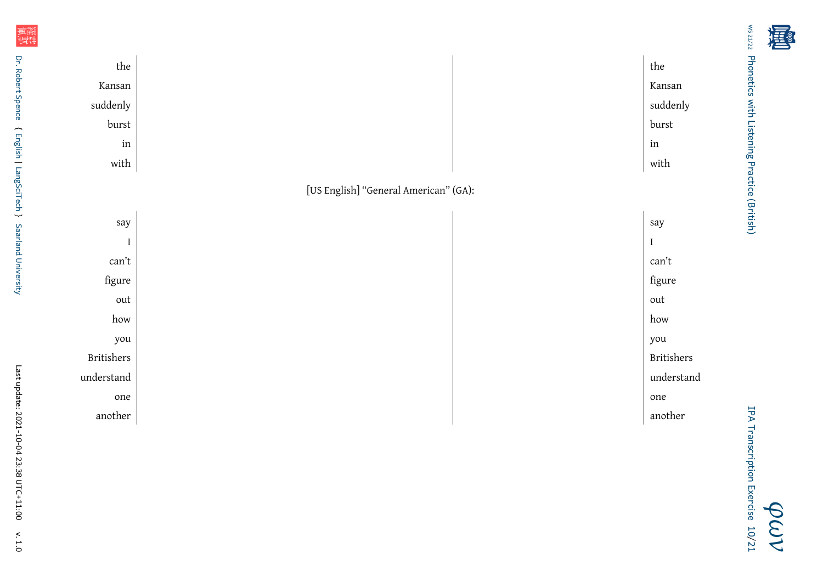

d design of the contract of the contract of the contract of the contract of the contract of the contract of the contract of the contract of the contract of the contract of the contract of the contract of the contract of th

e de la contradicto de la contradicto de la contradicto de la contradicto de la contradicto de la contradicto d<br>En la contradicto de la contradicto de la contradicto de la contradicto de la contradicto de la contradicto de

another and the set of the set of the set of the set of the set of the set of the set of the set of the set of the set of the set of the set of the set of the set of the set of the set of the set of the set of the set of t

计计划

one

another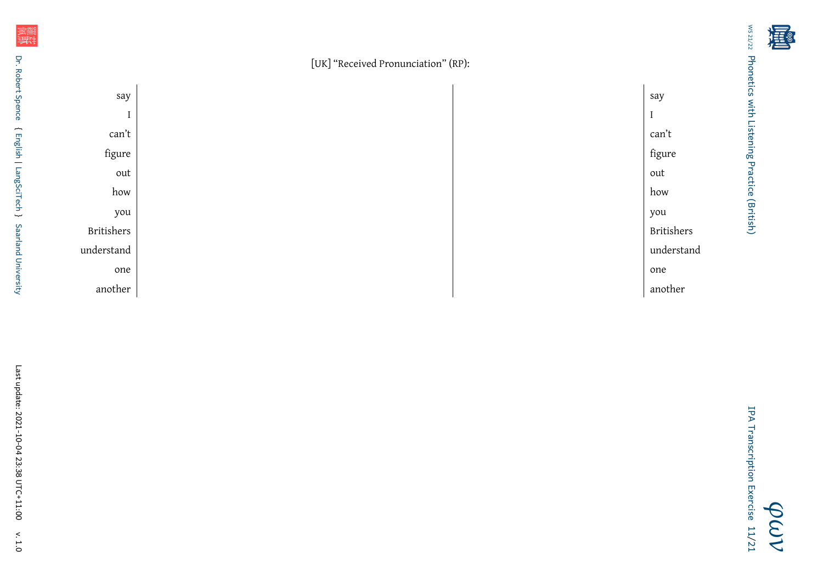[UK] "Received Pronunciation" (RP):



*[φων](http://www.spence.saar.de/courses/phoneticswithlistening/)* IPA Transcription Exercise11[/21](#page-20-0)

[Phonetics with Listening Practice \(British\)](http://www.spence.saar.de/courses/phoneticswithlistening/)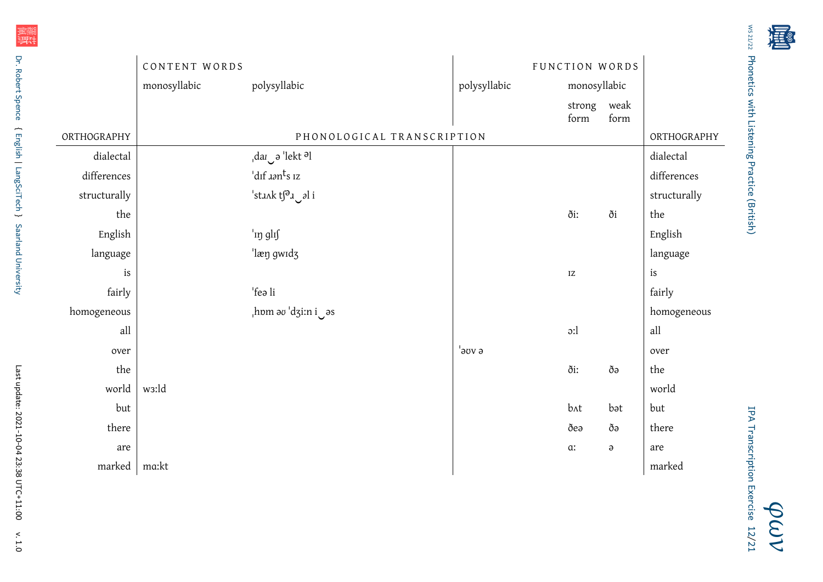|              | CONTENT WORDS      |                                                              |                   | FUNCTION WORDS         |          |              |
|--------------|--------------------|--------------------------------------------------------------|-------------------|------------------------|----------|--------------|
|              | monosyllabic       | polysyllabic                                                 | polysyllabic      | monosyllabic           |          |              |
|              |                    |                                                              |                   | strong weak<br>form    | form     |              |
| ORTHOGRAPHY  |                    | PHONOLOGICAL TRANSCRIPTION                                   |                   |                        |          | ORTHOGRAPHY  |
| dialectal    |                    | $\mathcal{A}$ dar $\mathcal{A}$ 'lekt $\partial \mathcal{A}$ |                   |                        |          | dialectal    |
| differences  |                    | 'dıf <i>aan<sup>t</sup>s</i> 1z                              |                   |                        |          | differences  |
| structurally |                    | 'stank ts <sup>a</sup> a al i                                |                   |                        |          | structurally |
| the          |                    |                                                              |                   | ði:                    | ði       | the          |
| English      |                    | 'in glif                                                     |                   |                        |          | English      |
| language     |                    | 'læŋ gwɪdʒ                                                   |                   |                        |          | language     |
| is           |                    |                                                              |                   | $\mathbf{I}\mathbf{Z}$ |          | is           |
| fairly       |                    | 'feə li                                                      |                   |                        |          | fairly       |
| homogeneous  |                    | as dzi:n i                                                   |                   |                        |          | homogeneous  |
| all          |                    |                                                              |                   | $\mathfrak{D}$ :       |          | $\text{all}$ |
| over         |                    |                                                              | $^{\prime}$ อบง อ |                        |          | over         |
| the          |                    |                                                              |                   | ði:                    | ðə       | the          |
| world        | w <sub>3</sub> :ld |                                                              |                   |                        |          | world        |
| but          |                    |                                                              |                   | b^t                    | bət      | but          |
| there        |                    |                                                              |                   | ðea                    | ðə       | there        |
| are          |                    |                                                              |                   | $\alpha$               | $\Theta$ | are          |
| marked       | ma:kt              |                                                              |                   |                        |          | marked       |

羅斯

[WS 21/22](http://www.spence.saar.de/whereabouts/time2102.html) Phonetics with Listening Practice (British) [Phonetics with Listening Practice \(British\)](http://www.spence.saar.de/courses/phoneticswithlistening/)

> *[φων](http://www.spence.saar.de/courses/phoneticswithlistening/)* IPA Transcription Exercise12[/21](#page-20-0)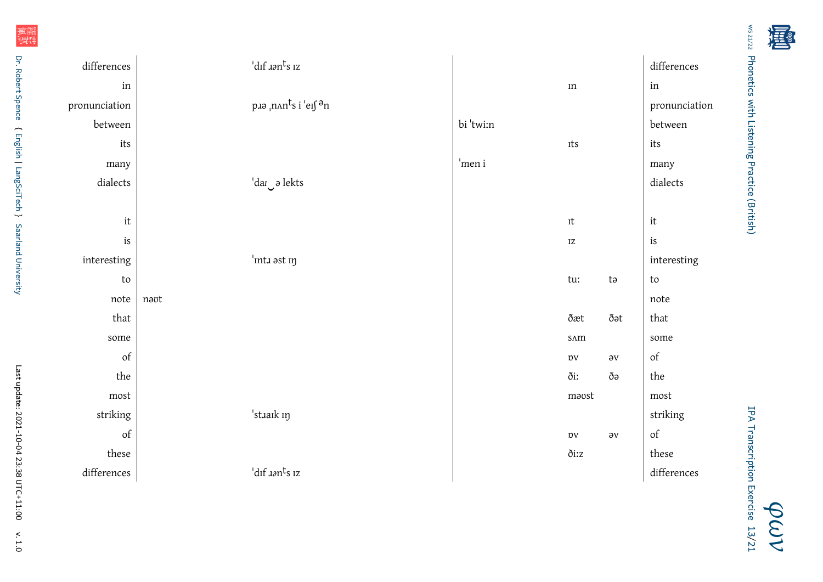ws 21/22 Phonetics with Listening Practice (British) [Phonetics with Listening Practice \(British\)](http://www.spence.saar.de/courses/phoneticswithlistening/)

计计

| differences                                                                                        | 'dıf <i>aa</i> n <sup>t</sup> s 1z     |           |                           |              | differences                                                                                        |
|----------------------------------------------------------------------------------------------------|----------------------------------------|-----------|---------------------------|--------------|----------------------------------------------------------------------------------------------------|
| in                                                                                                 |                                        |           | $\rm{m}$                  |              | in                                                                                                 |
| pronunciation                                                                                      | paa <sub>i</sub> nants i 'eifan        |           |                           |              | pronunciation                                                                                      |
| between                                                                                            |                                        | bi 'twi:n |                           |              | between                                                                                            |
| $\operatorname{its}$                                                                               |                                        |           | Its                       |              | its                                                                                                |
| many                                                                                               |                                        | 'men i    |                           |              | many                                                                                               |
| dialects                                                                                           | dar o lekts                            |           |                           |              | dialects                                                                                           |
|                                                                                                    |                                        |           |                           |              |                                                                                                    |
| $\,$ it                                                                                            |                                        |           | $_{\rm{It}}$              |              | $\operatorname{it}$                                                                                |
| $\operatorname{is}$                                                                                |                                        |           | $\mathbf{I}\mathbf{Z}$    |              | is                                                                                                 |
| interesting                                                                                        | 'inta ast in                           |           |                           |              | interesting                                                                                        |
| $\mathop{\mathrm{to}}$                                                                             |                                        |           | tu:                       | ta           | ${\sf to}$                                                                                         |
| note                                                                                               | navt                                   |           |                           |              | note                                                                                               |
| that                                                                                               |                                        |           | ðæt                       | ðət          | that                                                                                               |
| some                                                                                               |                                        |           | $\mbox{S}\Lambda\mbox{m}$ |              | some                                                                                               |
| of                                                                                                 |                                        |           | $_{\mathrm{DV}}$          | $\partial V$ | $\sigma f$                                                                                         |
| the                                                                                                |                                        |           | ði:                       | ðə           | the                                                                                                |
| ${\tt most}$                                                                                       |                                        |           | maost                     |              | ${\rm most}$                                                                                       |
| striking                                                                                           | 'staaik in                             |           |                           |              | striking                                                                                           |
| $% \left( \left( \mathcal{A},\mathcal{A}\right) \right) =\left( \mathcal{A},\mathcal{A}\right)$ of |                                        |           | $_{\mathrm{DV}}$          | $\partial V$ | $% \left( \left( \mathcal{A},\mathcal{A}\right) \right) =\left( \mathcal{A},\mathcal{A}\right)$ of |
| these                                                                                              |                                        |           | ðiːz                      |              | these                                                                                              |
| differences                                                                                        | $'$ dıf $\lambda$ ən $^{\dagger}$ s ız |           |                           |              | differences                                                                                        |

羅斯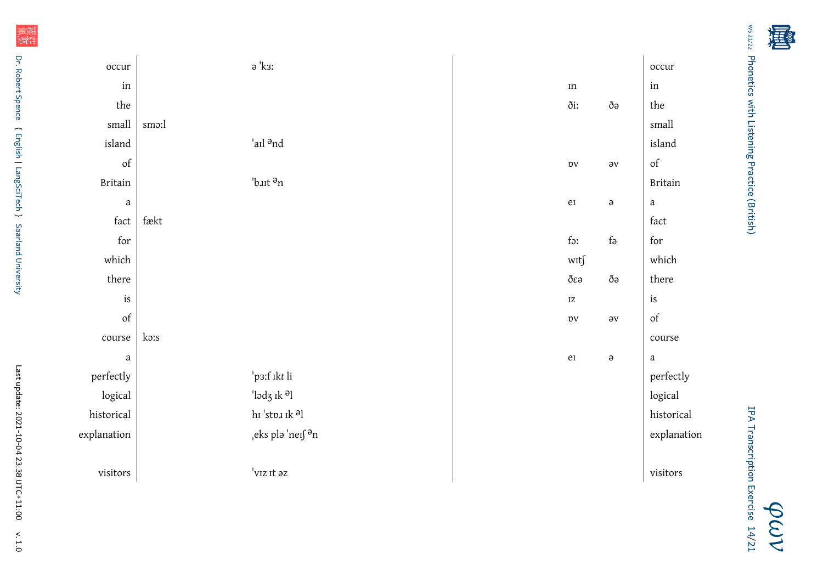| こうし トープ<br>ミュニュー                                 |  |
|--------------------------------------------------|--|
| LIGIT COLOR WIRE LIGHT THAT IT READS AND LOCATED |  |
|                                                  |  |
| ;<br>I                                           |  |
|                                                  |  |
|                                                  |  |

| occur                                                                                              | $\mathsf{a}\ ^{\mathsf{I}}$ кз:           |                        |                       | occur                                                                                              |
|----------------------------------------------------------------------------------------------------|-------------------------------------------|------------------------|-----------------------|----------------------------------------------------------------------------------------------------|
| $\operatorname{in}$                                                                                |                                           | In                     |                       | $\operatorname{in}$                                                                                |
| the                                                                                                |                                           | ði:                    | $\eth \partial$       | the                                                                                                |
| small                                                                                              | smo:l                                     |                        |                       | small                                                                                              |
| island                                                                                             | 'ail <sup>a</sup> nd                      |                        |                       | island                                                                                             |
| of                                                                                                 |                                           | $_{\mathrm{DV}}$       | $\partial \mathbf{V}$ | $\sigma f$                                                                                         |
| <b>Britain</b>                                                                                     | 'b.ut <sup>a</sup> n                      |                        |                       | <b>Britain</b>                                                                                     |
| $\it a$                                                                                            |                                           | $\rm{e}$               | $\partial$            | $\mathbf{a}$                                                                                       |
| fact                                                                                               | $\mbox{f}\mbox{a}\mbox{k}\mbox{t}$        |                        |                       | fact                                                                                               |
| for                                                                                                |                                           | for                    | $f_{\partial}$        | for                                                                                                |
| which                                                                                              |                                           | $\text{wrt}\int$       |                       | which                                                                                              |
| there                                                                                              |                                           | $\eth\varepsilon$ ə    | $\eth \partial$       | $\,$ there                                                                                         |
| is                                                                                                 |                                           | $\mathbf{I}\mathbf{Z}$ |                       | is                                                                                                 |
| $% \left( \left( \mathcal{A},\mathcal{A}\right) \right) =\left( \mathcal{A},\mathcal{A}\right)$ of |                                           | $_{\mathrm{DV}}$       | $\partial \mathbf{V}$ | $% \left( \left( \mathcal{A},\mathcal{A}\right) \right) =\left( \mathcal{A},\mathcal{A}\right)$ of |
| course                                                                                             | ko:s                                      |                        |                       | course                                                                                             |
| $\mathbf{a}$                                                                                       |                                           | $\rm e I$              | $\Theta$              | $\mathbf{a}$                                                                                       |
| perfectly                                                                                          | p3:f ikt li                               |                        |                       | perfectly                                                                                          |
| logical                                                                                            | 'lodz ik <sup>a</sup> l                   |                        |                       | logical                                                                                            |
| historical                                                                                         | hı 'st<br>nı ık $\mbox{\rm{sl}}$          |                        |                       | historical                                                                                         |
| explanation                                                                                        | <sub>,</sub> eks plə 'neı∫ <sup>ə</sup> n |                        |                       | explanation                                                                                        |
|                                                                                                    |                                           |                        |                       |                                                                                                    |
| $\,$ visitors                                                                                      | $^{\shortmid}$ v<br>ız ıt əz              |                        |                       | visitors                                                                                           |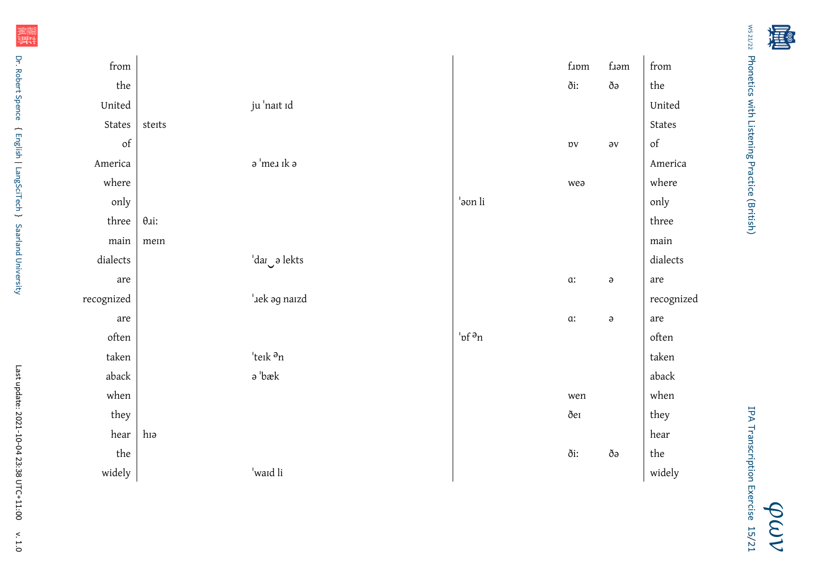| ファノエフ ぐん                                  |  |
|-------------------------------------------|--|
| ここころこう ひこうりょうこう コール・クーニューマ<br>)<br>5<br>) |  |
|                                           |  |
|                                           |  |
| プー・SCCCC 一モーニニ                            |  |
|                                           |  |

| from                                                         |                                                 |                                   | f.um             | f.am         | from                                                                                               |
|--------------------------------------------------------------|-------------------------------------------------|-----------------------------------|------------------|--------------|----------------------------------------------------------------------------------------------------|
| $% \left( \left( \mathcal{A},\mathcal{A}\right) \right)$ the |                                                 |                                   | ði:              | $\eth \eth$  | the                                                                                                |
| United                                                       | ju 'nait id                                     |                                   |                  |              | United                                                                                             |
| $\operatorname{\mathsf{States}}$                             | steits                                          |                                   |                  |              | States                                                                                             |
| of                                                           |                                                 |                                   | $_{\mathrm{DV}}$ | $\partial V$ | $% \left( \left( \mathcal{A},\mathcal{A}\right) \right) =\left( \mathcal{A},\mathcal{A}\right)$ of |
| America                                                      | $\mathsf{a}\text{ 'me}$ ik $\mathsf{a}\text{ }$ |                                   |                  |              | America                                                                                            |
| where                                                        |                                                 |                                   | wea              |              | where                                                                                              |
| only                                                         |                                                 | 'əon li                           |                  |              | only                                                                                               |
| three                                                        | $\theta$ <i>ai</i> :                            |                                   |                  |              | three                                                                                              |
| main                                                         | mein                                            |                                   |                  |              | main                                                                                               |
| $\emph{dialects}$                                            | 'dar o lekts                                    |                                   |                  |              | $\emph{dialects}$                                                                                  |
| are                                                          |                                                 |                                   | $\alpha$ :       | $\partial$   | are                                                                                                |
| recognized                                                   | '.ek ag naizd                                   |                                   |                  |              | recognized                                                                                         |
| are                                                          |                                                 |                                   | $\alpha$         | $\partial$   | are                                                                                                |
| $\quad$ often                                                |                                                 | $^{\prime}$ <sub>pf</sub> $a_{n}$ |                  |              | often                                                                                              |
| taken                                                        | 'teik <sup>a</sup> n                            |                                   |                  |              | taken                                                                                              |
| aback                                                        | ə 'bæk                                          |                                   |                  |              | aback                                                                                              |
| when                                                         |                                                 |                                   | wen              |              | when                                                                                               |
| they                                                         |                                                 |                                   | $\eth e$         |              | they                                                                                               |
| hear                                                         | hıə                                             |                                   |                  |              | hear                                                                                               |
| the                                                          |                                                 |                                   | ði:              | $\eth \eth$  | $% \left( \left( \mathcal{A},\mathcal{A}\right) \right)$ the                                       |
| widely                                                       | 'ward li                                        |                                   |                  |              | widely                                                                                             |
|                                                              |                                                 |                                   |                  |              |                                                                                                    |

羅斯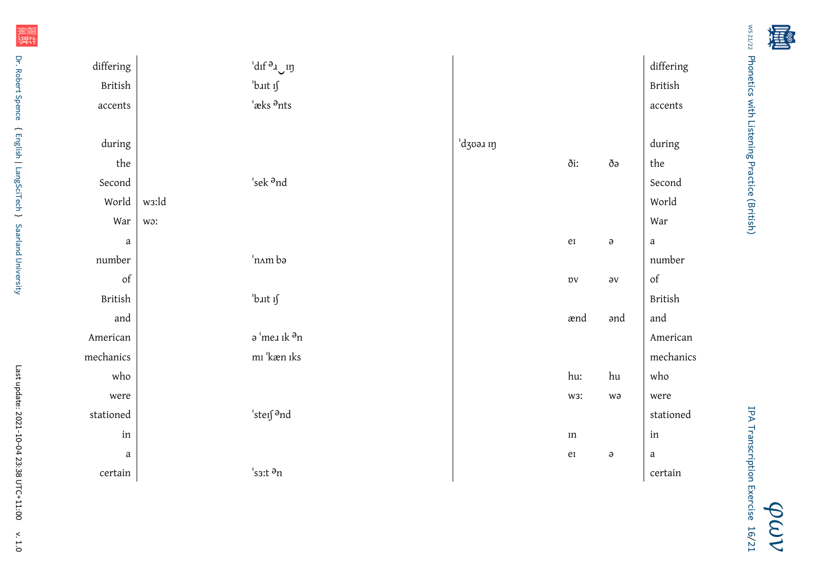| こうし トート<br>vic on             |  |
|-------------------------------|--|
| י ומורחת ביד ומוגג בחרת הוותו |  |
| C                             |  |
| アー・スクライフー こうこう                |  |
|                               |  |

| differing                                                    |       | $\mathop{}\!\mathrm{d}\mathrm{d} f$ ə $\mathop{}\!\mathrm{d} \mathop{}\!\mathrm{d} y$ |         |                   |                  | differing      |
|--------------------------------------------------------------|-------|---------------------------------------------------------------------------------------|---------|-------------------|------------------|----------------|
| British                                                      |       | bait if                                                                               |         |                   |                  | <b>British</b> |
| accents                                                      |       | 'æks <sup>a</sup> nts                                                                 |         |                   |                  | accents        |
|                                                              |       |                                                                                       |         |                   |                  |                |
| during                                                       |       |                                                                                       | dzvə un |                   |                  | during         |
| $% \left( \left( \mathcal{A},\mathcal{A}\right) \right)$ the |       |                                                                                       |         | ði:               | ðə               | the            |
| Second                                                       |       | 'sek $\mathbin{{}^{\mathrm{9}\mathrm{nd}}}$                                           |         |                   |                  | Second         |
| World                                                        | ws:ld |                                                                                       |         |                   |                  | World          |
| War                                                          | wo:   |                                                                                       |         |                   |                  | War            |
| $\mathbf{a}$                                                 |       |                                                                                       |         | ${\rm e} {\rm i}$ | $\Theta$         | $\mathbf{a}$   |
| number                                                       |       | nam bə                                                                                |         |                   |                  | number         |
| of                                                           |       |                                                                                       |         | $_{\mathrm{DV}}$  | $\partial V$     | of             |
| <b>British</b>                                               |       | 'bait if                                                                              |         |                   |                  | <b>British</b> |
| and                                                          |       |                                                                                       |         | ænd               | and              | and            |
| American                                                     |       | ә'телік $\mathsf{a}_\mathrm{n}$                                                       |         |                   |                  | American       |
| mechanics                                                    |       | mı 'kæn ıks                                                                           |         |                   |                  | mechanics      |
| who                                                          |       |                                                                                       |         | hu:               | hu               | who            |
| were                                                         |       |                                                                                       |         | W3I               | wə               | were           |
| stationed                                                    |       | 'steif <sup>a</sup> nd                                                                |         |                   |                  | stationed      |
| $\operatorname{in}$                                          |       |                                                                                       |         | $\rm{m}$          |                  | in             |
| $\mathbf{a}$                                                 |       |                                                                                       |         | ${\rm e} {\rm i}$ | $\pmb{\partial}$ | $\mathbf{a}$   |
| certain                                                      |       | $'s$ 3:t $\partial$ n                                                                 |         |                   |                  | certain        |

羅斯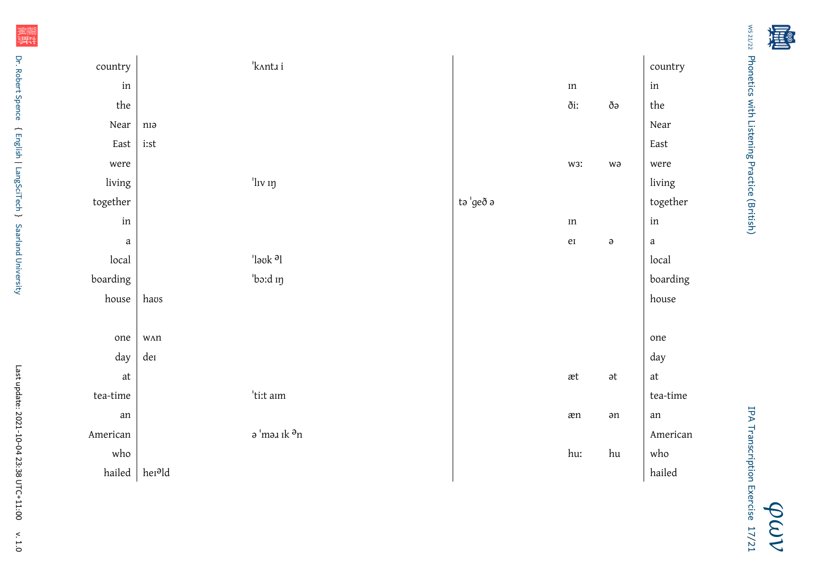| intry                        |                                    | 'k^nta i                     |           |                              |                              | country                      |
|------------------------------|------------------------------------|------------------------------|-----------|------------------------------|------------------------------|------------------------------|
| $\operatorname{in}$          |                                    |                              |           | $\rm{m}$                     |                              | $\operatorname{in}$          |
| the                          |                                    |                              |           | ðiː                          | ðə                           | the                          |
| Near                         | niə                                |                              |           |                              |                              | Near                         |
| East                         | $\operatorname{i:st}$              |                              |           |                              |                              | East                         |
| were                         |                                    |                              |           | W3I                          | wə                           | were                         |
| iving                        |                                    | 'lıv ıŋ                      |           |                              |                              | living                       |
| ether                        |                                    |                              | tə 'geð ə |                              |                              | together                     |
| $\operatorname{in}$          |                                    |                              |           | $\rm{m}$                     |                              | in                           |
| $\it a$                      |                                    |                              |           | ${\rm e} {\rm i}$            | $\partial$                   | $\mathbf{a}$                 |
| local                        |                                    | $\lceil \log k \rceil$       |           |                              |                              | local                        |
| ding                         |                                    | 'bo:d in                     |           |                              |                              | boarding                     |
| ouse                         | haos                               |                              |           |                              |                              | ${\tt house}$                |
|                              |                                    |                              |           |                              |                              |                              |
| one                          | $\mathsf{W}\Lambda\mathsf{\Omega}$ |                              |           |                              |                              | one                          |
| day                          | der                                |                              |           |                              |                              | day                          |
| $\operatorname{\mathsf{at}}$ |                                    |                              |           | $\operatorname{\mathsf{at}}$ | $\operatorname{\mathsf{at}}$ | $\operatorname{\mathsf{at}}$ |
| time                         |                                    | $^{\shortmid}$ ti:<br>t aım  |           |                              |                              | $\,$ tea-time                |
| ${\rm an}$                   |                                    |                              |           | æn                           | $\operatorname{\mathsf{an}}$ | an                           |
| rican                        |                                    | ә $\,$ 'mәл ık $\,$ ә $\,$ n |           |                              |                              | American                     |
| who                          |                                    |                              |           | hu:                          | hu                           | who                          |

d and the set of the set of the set of the set of the set of the set of the set of the set of the set of the set of the set of the set of the set of the set of the set of the set of the set of the set of the set of the set

o with the set of the contract of the contract of the contract of the contract of the contract of the contract of the contract of the contract of the contract of the contract of the contract of the contract of the contract

计计划

country

were

living

local

house

who

hailed

d | her<sup>ə</sup>ld

tea-time

American

boarding

together

*[φων](http://www.spence.saar.de/courses/phoneticswithlistening/)* IPA Transcription Exercise17[/21](#page-20-0)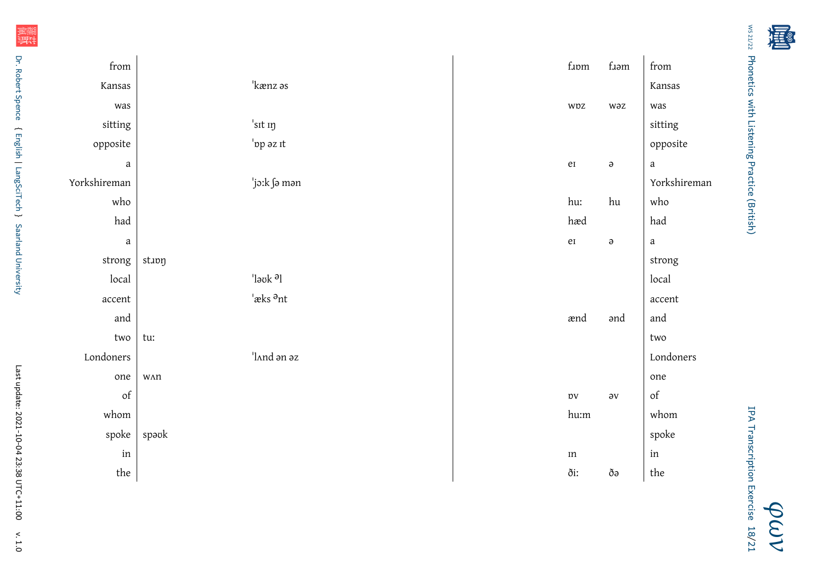| ファノエフ ぐん<br>NIC 71                               |  |
|--------------------------------------------------|--|
| י ומווברורס אורון דומרבו וווב? ו- ומראה למווכן ז |  |
|                                                  |  |
| r                                                |  |
| Š                                                |  |
|                                                  |  |

j,

*[φων](http://www.spence.saar.de/courses/phoneticswithlistening/)* IPA Transcription Exercise18[/21](#page-20-0)

| from                                                                                               |                                    | ${\rm f}$   | $f_{\rm J\partial M}$ | from                                                                                               |
|----------------------------------------------------------------------------------------------------|------------------------------------|-------------|-----------------------|----------------------------------------------------------------------------------------------------|
| Kansas                                                                                             | 'kænz əs                           |             |                       | Kansas                                                                                             |
| was                                                                                                |                                    | wpz         | wəz                   | was                                                                                                |
| sitting                                                                                            | 'sit in                            |             |                       | sitting                                                                                            |
| opposite                                                                                           | 'op az it                          |             |                       | opposite                                                                                           |
| $\it a$                                                                                            |                                    | eI          | $\pmb{\partial}$      | $\it a$                                                                                            |
| Yorkshireman                                                                                       | ˈjɔːk ∫ə mən                       |             |                       | Yorkshireman                                                                                       |
| who                                                                                                |                                    | hu:         | $\hbox{hu}$           | who                                                                                                |
| had                                                                                                |                                    | hæd         |                       | had                                                                                                |
| $\it a$                                                                                            |                                    | eI          | $\partial$            | $\it a$                                                                                            |
| strong                                                                                             | stapn                              |             |                       | strong                                                                                             |
| local                                                                                              | $\vert$ lə $\mathrm{ok}$ ə $\vert$ |             |                       | local                                                                                              |
| accent                                                                                             | $'$ æks $\partial$ nt              |             |                       | accent                                                                                             |
| and                                                                                                |                                    | ænd         | ənd                   | and                                                                                                |
| two                                                                                                | tu:                                |             |                       | two                                                                                                |
| Londoners                                                                                          | land an az                         |             |                       | Londoners                                                                                          |
| one                                                                                                | WAN                                |             |                       | one                                                                                                |
| $% \left( \left( \mathcal{A},\mathcal{A}\right) \right) =\left( \mathcal{A},\mathcal{A}\right)$ of |                                    | $_{\rm DV}$ | $\partial V$          | $% \left( \left( \mathcal{A},\mathcal{A}\right) \right) =\left( \mathcal{A},\mathcal{A}\right)$ of |
| whom                                                                                               |                                    | hu:m        |                       | whom                                                                                               |
| spoke                                                                                              | spəvk                              |             |                       | spoke                                                                                              |
| in                                                                                                 |                                    | $\rm{m}$    |                       | $\operatorname{in}$                                                                                |
| $^{\rm the}$                                                                                       |                                    | ðiː         | ðə                    | the                                                                                                |

~

[Saarland University](http://www.uni-saarland.de)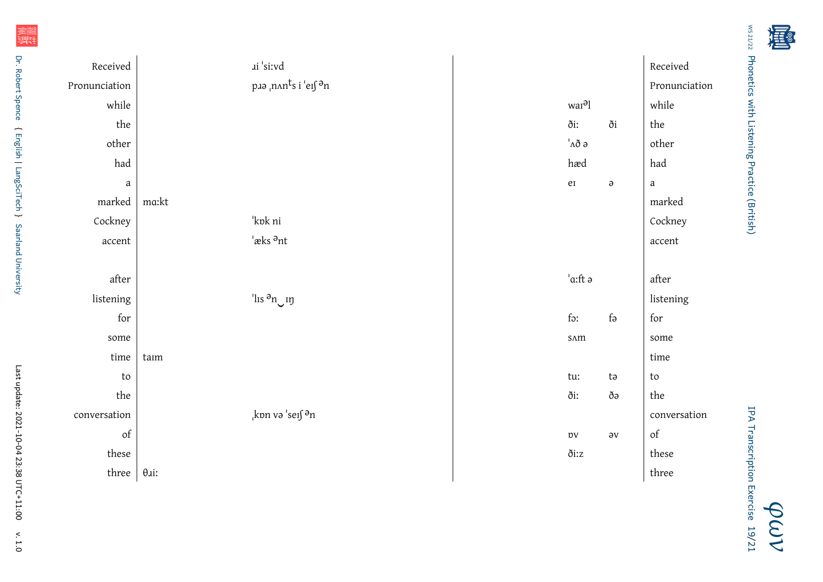| M251/22                                                            |  |
|--------------------------------------------------------------------|--|
| <b>Phonetics With Listeni</b><br>llmg+<br><b>Practice (British</b> |  |

| Received                             |       | ai 'si:vd                          |                               |                  | Received                   |
|--------------------------------------|-------|------------------------------------|-------------------------------|------------------|----------------------------|
| Pronunciation                        |       | рлә $\mu$ n<br>nnts i 'eɪʃ ə̃n     |                               |                  | Pronunciation              |
| while                                |       |                                    | war <sup>a</sup> l            |                  | while                      |
| $% \left\vert \cdot \right\vert$ the |       |                                    | ði:                           | ði               | $^{\rm the}$               |
| other                                |       |                                    | $^{\shortmid }\Lambda \eth$ ə |                  | other                      |
| had                                  |       |                                    | hæd                           |                  | had                        |
| $\mathbf{a}$                         |       |                                    | $\rm e I$                     | $\pmb{\partial}$ | $\it a$                    |
| marked                               | ma:kt |                                    |                               |                  | marked                     |
| Cockney                              |       | 'kok ni                            |                               |                  | Cockney                    |
| accent                               |       | $'$ æks $\partial$ nt              |                               |                  | accent                     |
|                                      |       |                                    |                               |                  |                            |
|                                      |       |                                    |                               |                  |                            |
| $\operatorname{\sf after}$           |       |                                    | $^{\shortmid}$ a:ft ə         |                  | $\operatorname{\sf after}$ |
| listening                            |       | <sup>'</sup> lıs <sup>ə</sup> n un |                               |                  | listening                  |
| for                                  |       |                                    | for                           | $f_{\partial}$   | ${\rm for}$                |
| some                                 |       |                                    | SAM                           |                  | some                       |
| time                                 | taim  |                                    |                               |                  | time                       |
| to                                   |       |                                    | tu:                           | ta               | ${\sf to}$                 |
| $^{\rm the}$                         |       |                                    | ði:                           | ðə               | the                        |
| conversation                         |       | kon və 'seıf $\partial_n$          |                               |                  | conversation               |
| of                                   |       |                                    | $_{\mathrm{DV}}$              | $\partial V$     | of                         |
| these                                |       |                                    | ðiːz                          |                  | these                      |

篇<br>就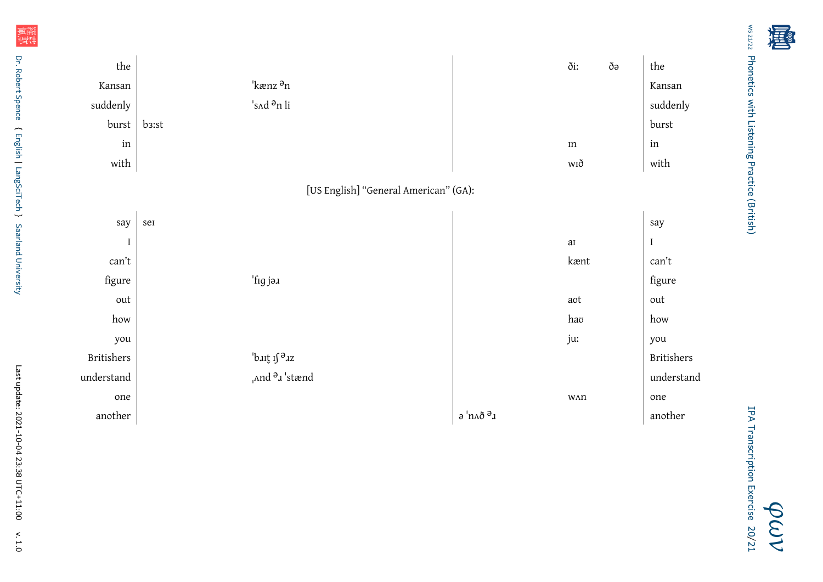| the                                               |                                             |                                                 | ði:                                | ðə | the                 |
|---------------------------------------------------|---------------------------------------------|-------------------------------------------------|------------------------------------|----|---------------------|
| Kansan                                            | 'kænz <sup>a</sup> n                        |                                                 |                                    |    | Kansan              |
| suddenly                                          | 's Ad <sup>a</sup> n li                     |                                                 |                                    |    | suddenly            |
| burst                                             | b3:st                                       |                                                 |                                    |    | burst               |
| in                                                |                                             |                                                 | $\rm{m}$                           |    | $\operatorname{in}$ |
| with                                              |                                             |                                                 | wıð                                |    | with                |
| [US English] "General American" (GA):             |                                             |                                                 |                                    |    |                     |
|                                                   |                                             |                                                 |                                    |    |                     |
| say                                               | sei                                         |                                                 |                                    |    | say                 |
| $\mathbf I$                                       |                                             |                                                 | $\rm{a}$                           |    | $\rm I$             |
| $\operatorname*{can}\nolimits^{\boldsymbol{*}}$ t |                                             |                                                 | kænt                               |    | can't               |
| figure                                            | 'fig jə.ı                                   |                                                 |                                    |    | figure              |
| out                                               |                                             |                                                 | aot                                |    | out                 |
| how                                               |                                             |                                                 | hao                                |    | how                 |
| you                                               |                                             |                                                 | ju:                                |    | you                 |
| Britishers                                        | bait if az                                  |                                                 |                                    |    | <b>Britishers</b>   |
| understand                                        | $\Lambda$ nd $\partial$ <sub>1</sub> 'stænd |                                                 |                                    |    | understand          |
| one                                               |                                             |                                                 | $\mathsf{W}\Lambda\mathsf{\Omega}$ |    | one                 |
| another                                           |                                             | $\mathsf{a}$ 'пл<br>ð $\mathsf{a}_{\mathsf{J}}$ |                                    |    | another             |

Ws 21/22 Phonetics with Listening Practice (British) [Phonetics with Listening Practice \(British\)](http://www.spence.saar.de/courses/phoneticswithlistening/)

计计